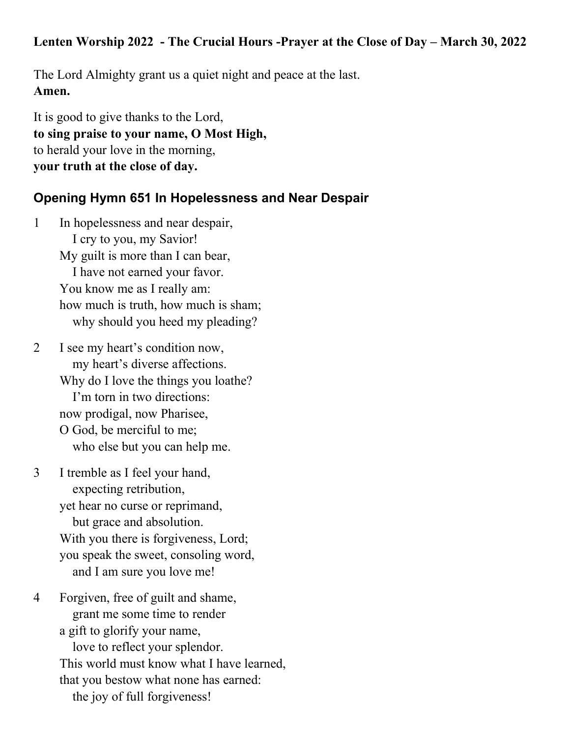#### Lenten Worship 2022 - The Crucial Hours -Prayer at the Close of Day – March 30, 2022

The Lord Almighty grant us a quiet night and peace at the last. **Amen.**

It is good to give thanks to the Lord, **to sing praise to your name, O Most High,** to herald your love in the morning, **your truth at the close of day.**

## **Opening Hymn 651 In Hopelessness and Near Despair**

1 In hopelessness and near despair, I cry to you, my Savior! My guilt is more than I can bear, I have not earned your favor. You know me as I really am: how much is truth, how much is sham; why should you heed my pleading?

2 I see my heart's condition now, my heart's diverse affections. Why do I love the things you loathe? I'm torn in two directions: now prodigal, now Pharisee, O God, be merciful to me; who else but you can help me.

3 I tremble as I feel your hand, expecting retribution, yet hear no curse or reprimand, but grace and absolution. With you there is forgiveness, Lord; you speak the sweet, consoling word, and I am sure you love me!

4 Forgiven, free of guilt and shame, grant me some time to render a gift to glorify your name, love to reflect your splendor. This world must know what I have learned, that you bestow what none has earned: the joy of full forgiveness!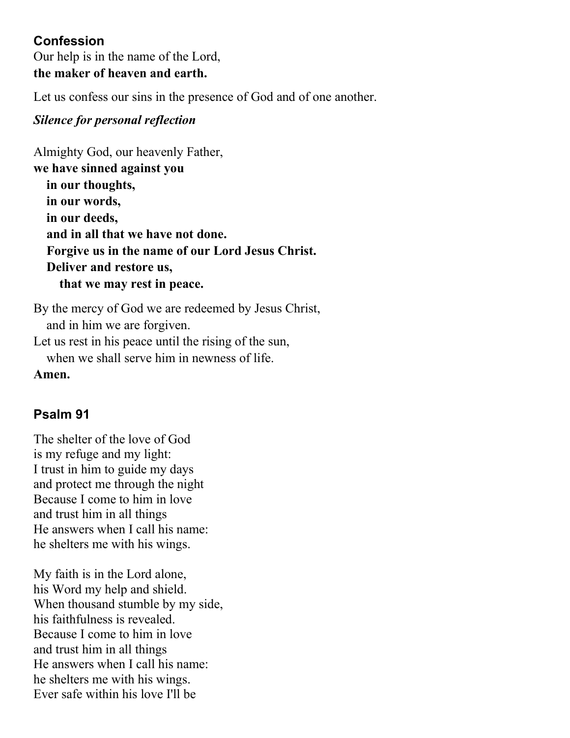### **Confession**

Our help is in the name of the Lord, **the maker of heaven and earth.**

Let us confess our sins in the presence of God and of one another.

### *Silence for personal reflection*

Almighty God, our heavenly Father, **we have sinned against you in our thoughts, in our words, in our deeds, and in all that we have not done. Forgive us in the name of our Lord Jesus Christ. Deliver and restore us, that we may rest in peace.**

By the mercy of God we are redeemed by Jesus Christ, and in him we are forgiven. Let us rest in his peace until the rising of the sun, when we shall serve him in newness of life.

**Amen.**

# **Psalm 91**

The shelter of the love of God is my refuge and my light: I trust in him to guide my days and protect me through the night Because I come to him in love and trust him in all things He answers when I call his name: he shelters me with his wings.

My faith is in the Lord alone, his Word my help and shield. When thousand stumble by my side, his faithfulness is revealed. Because I come to him in love and trust him in all things He answers when I call his name: he shelters me with his wings. Ever safe within his love I'll be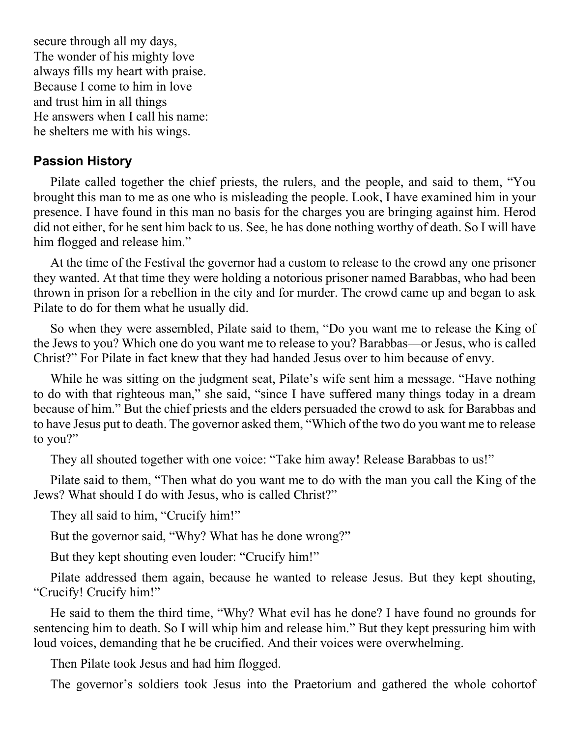secure through all my days, The wonder of his mighty love always fills my heart with praise. Because I come to him in love and trust him in all things He answers when I call his name: he shelters me with his wings.

#### **Passion History**

Pilate called together the chief priests, the rulers, and the people, and said to them, "You brought this man to me as one who is misleading the people. Look, I have examined him in your presence. I have found in this man no basis for the charges you are bringing against him. Herod did not either, for he sent him back to us. See, he has done nothing worthy of death. So I will have him flogged and release him."

At the time of the Festival the governor had a custom to release to the crowd any one prisoner they wanted. At that time they were holding a notorious prisoner named Barabbas, who had been thrown in prison for a rebellion in the city and for murder. The crowd came up and began to ask Pilate to do for them what he usually did.

So when they were assembled, Pilate said to them, "Do you want me to release the King of the Jews to you? Which one do you want me to release to you? Barabbas—or Jesus, who is called Christ?" For Pilate in fact knew that they had handed Jesus over to him because of envy.

While he was sitting on the judgment seat, Pilate's wife sent him a message. "Have nothing to do with that righteous man," she said, "since I have suffered many things today in a dream because of him." But the chief priests and the elders persuaded the crowd to ask for Barabbas and to have Jesus put to death. The governor asked them, "Which of the two do you want me to release to you?"

They all shouted together with one voice: "Take him away! Release Barabbas to us!"

Pilate said to them, "Then what do you want me to do with the man you call the King of the Jews? What should I do with Jesus, who is called Christ?"

They all said to him, "Crucify him!"

But the governor said, "Why? What has he done wrong?"

But they kept shouting even louder: "Crucify him!"

Pilate addressed them again, because he wanted to release Jesus. But they kept shouting, "Crucify! Crucify him!"

He said to them the third time, "Why? What evil has he done? I have found no grounds for sentencing him to death. So I will whip him and release him." But they kept pressuring him with loud voices, demanding that he be crucified. And their voices were overwhelming.

Then Pilate took Jesus and had him flogged.

The governor's soldiers took Jesus into the Praetorium and gathered the whole cohortof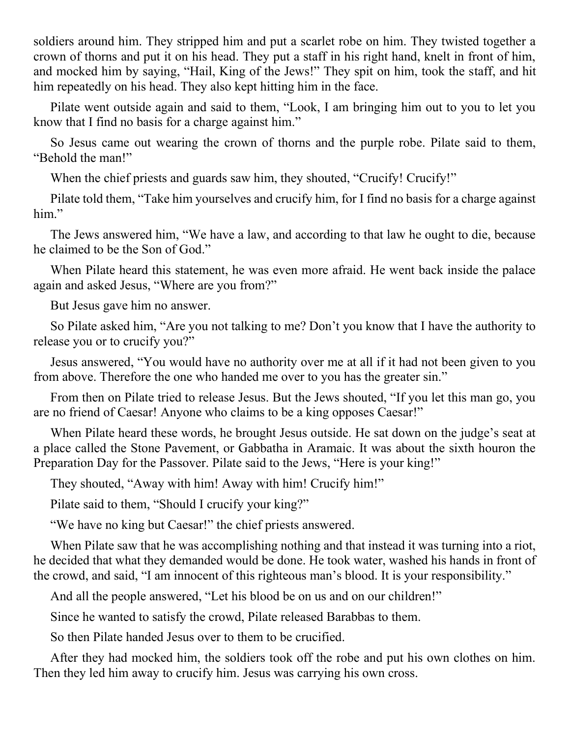soldiers around him. They stripped him and put a scarlet robe on him. They twisted together a crown of thorns and put it on his head. They put a staff in his right hand, knelt in front of him, and mocked him by saying, "Hail, King of the Jews!" They spit on him, took the staff, and hit him repeatedly on his head. They also kept hitting him in the face.

Pilate went outside again and said to them, "Look, I am bringing him out to you to let you know that I find no basis for a charge against him."

So Jesus came out wearing the crown of thorns and the purple robe. Pilate said to them, "Behold the man!"

When the chief priests and guards saw him, they shouted, "Crucify! Crucify!"

Pilate told them, "Take him yourselves and crucify him, for I find no basis for a charge against him."

The Jews answered him, "We have a law, and according to that law he ought to die, because he claimed to be the Son of God."

When Pilate heard this statement, he was even more afraid. He went back inside the palace again and asked Jesus, "Where are you from?"

But Jesus gave him no answer.

So Pilate asked him, "Are you not talking to me? Don't you know that I have the authority to release you or to crucify you?"

Jesus answered, "You would have no authority over me at all if it had not been given to you from above. Therefore the one who handed me over to you has the greater sin."

From then on Pilate tried to release Jesus. But the Jews shouted, "If you let this man go, you are no friend of Caesar! Anyone who claims to be a king opposes Caesar!"

When Pilate heard these words, he brought Jesus outside. He sat down on the judge's seat at a place called the Stone Pavement, or Gabbatha in Aramaic. It was about the sixth houron the Preparation Day for the Passover. Pilate said to the Jews, "Here is your king!"

They shouted, "Away with him! Away with him! Crucify him!"

Pilate said to them, "Should I crucify your king?"

"We have no king but Caesar!" the chief priests answered.

When Pilate saw that he was accomplishing nothing and that instead it was turning into a riot, he decided that what they demanded would be done. He took water, washed his hands in front of the crowd, and said, "I am innocent of this righteous man's blood. It is your responsibility."

And all the people answered, "Let his blood be on us and on our children!"

Since he wanted to satisfy the crowd, Pilate released Barabbas to them.

So then Pilate handed Jesus over to them to be crucified.

After they had mocked him, the soldiers took off the robe and put his own clothes on him. Then they led him away to crucify him. Jesus was carrying his own cross.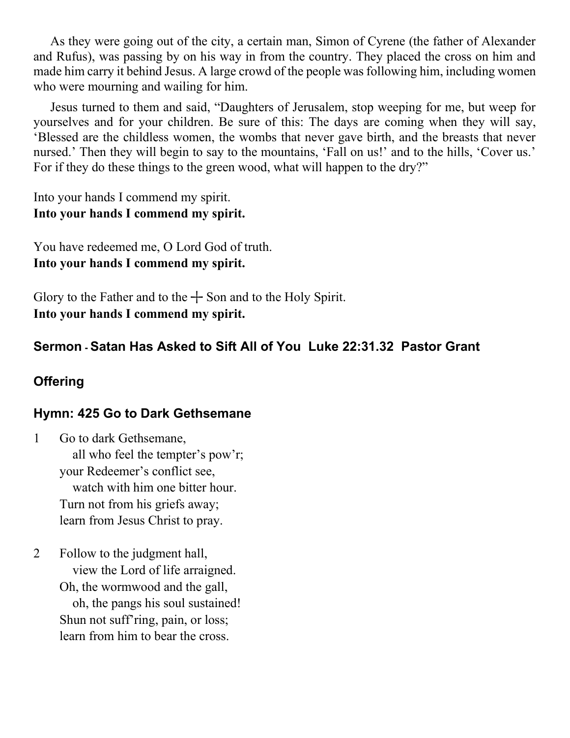As they were going out of the city, a certain man, Simon of Cyrene (the father of Alexander and Rufus), was passing by on his way in from the country. They placed the cross on him and made him carry it behind Jesus. A large crowd of the people was following him, including women who were mourning and wailing for him.

Jesus turned to them and said, "Daughters of Jerusalem, stop weeping for me, but weep for yourselves and for your children. Be sure of this: The days are coming when they will say, 'Blessed are the childless women, the wombs that never gave birth, and the breasts that never nursed.' Then they will begin to say to the mountains, 'Fall on us!' and to the hills, 'Cover us.' For if they do these things to the green wood, what will happen to the dry?"

Into your hands I commend my spirit. **Into your hands I commend my spirit.** 

You have redeemed me, O Lord God of truth. **Into your hands I commend my spirit.** 

Glory to the Father and to the  $+$  Son and to the Holy Spirit. **Into your hands I commend my spirit.**

## **Sermon - Satan Has Asked to Sift All of You Luke 22:31.32 Pastor Grant**

# **Offering**

# **Hymn: 425 Go to Dark Gethsemane**

- 1 Go to dark Gethsemane, all who feel the tempter's pow'r; your Redeemer's conflict see, watch with him one bitter hour. Turn not from his griefs away; learn from Jesus Christ to pray.
- 2 Follow to the judgment hall, view the Lord of life arraigned. Oh, the wormwood and the gall, oh, the pangs his soul sustained! Shun not suff'ring, pain, or loss; learn from him to bear the cross.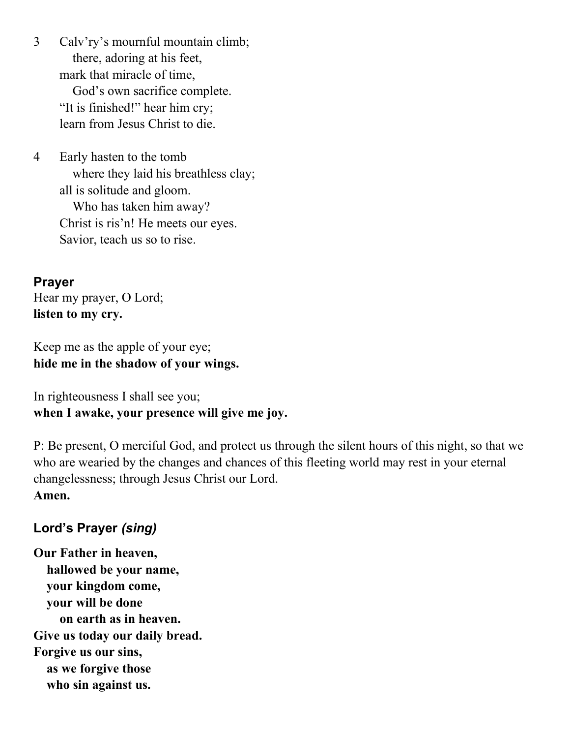- 3 Calv'ry's mournful mountain climb; there, adoring at his feet, mark that miracle of time, God's own sacrifice complete. "It is finished!" hear him cry; learn from Jesus Christ to die.
- 4 Early hasten to the tomb where they laid his breathless clay; all is solitude and gloom. Who has taken him away? Christ is ris'n! He meets our eyes. Savior, teach us so to rise.

**Prayer** Hear my prayer, O Lord; **listen to my cry.** 

Keep me as the apple of your eye; **hide me in the shadow of your wings.** 

In righteousness I shall see you; **when I awake, your presence will give me joy.**

P: Be present, O merciful God, and protect us through the silent hours of this night, so that we who are wearied by the changes and chances of this fleeting world may rest in your eternal changelessness; through Jesus Christ our Lord. **Amen.**

## **Lord's Prayer** *(sing)*

**Our Father in heaven, hallowed be your name, your kingdom come, your will be done on earth as in heaven. Give us today our daily bread. Forgive us our sins, as we forgive those who sin against us.**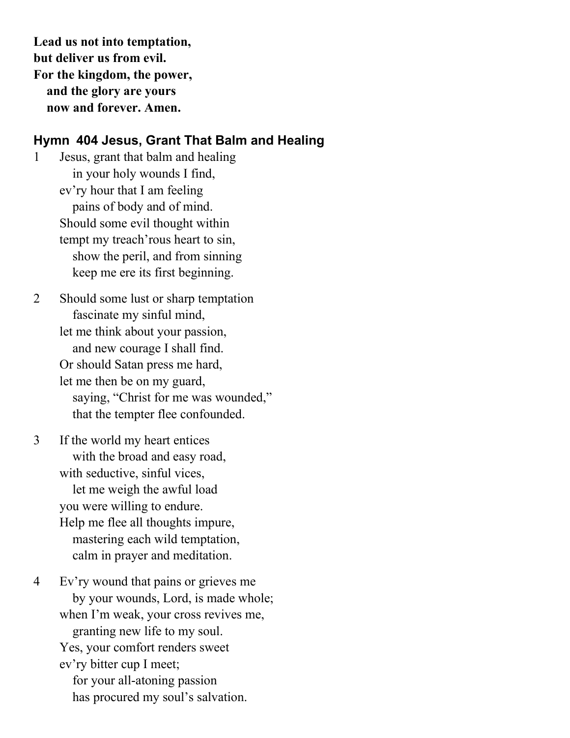**Lead us not into temptation, but deliver us from evil. For the kingdom, the power, and the glory are yours now and forever. Amen.**

#### **Hymn 404 Jesus, Grant That Balm and Healing**

- 1 Jesus, grant that balm and healing in your holy wounds I find, ev'ry hour that I am feeling pains of body and of mind. Should some evil thought within tempt my treach'rous heart to sin, show the peril, and from sinning keep me ere its first beginning.
- 2 Should some lust or sharp temptation fascinate my sinful mind, let me think about your passion, and new courage I shall find. Or should Satan press me hard, let me then be on my guard, saying, "Christ for me was wounded," that the tempter flee confounded.
- 3 If the world my heart entices with the broad and easy road, with seductive, sinful vices, let me weigh the awful load you were willing to endure. Help me flee all thoughts impure, mastering each wild temptation, calm in prayer and meditation.
- 4 Ev'ry wound that pains or grieves me by your wounds, Lord, is made whole; when I'm weak, your cross revives me, granting new life to my soul. Yes, your comfort renders sweet ev'ry bitter cup I meet; for your all-atoning passion has procured my soul's salvation.